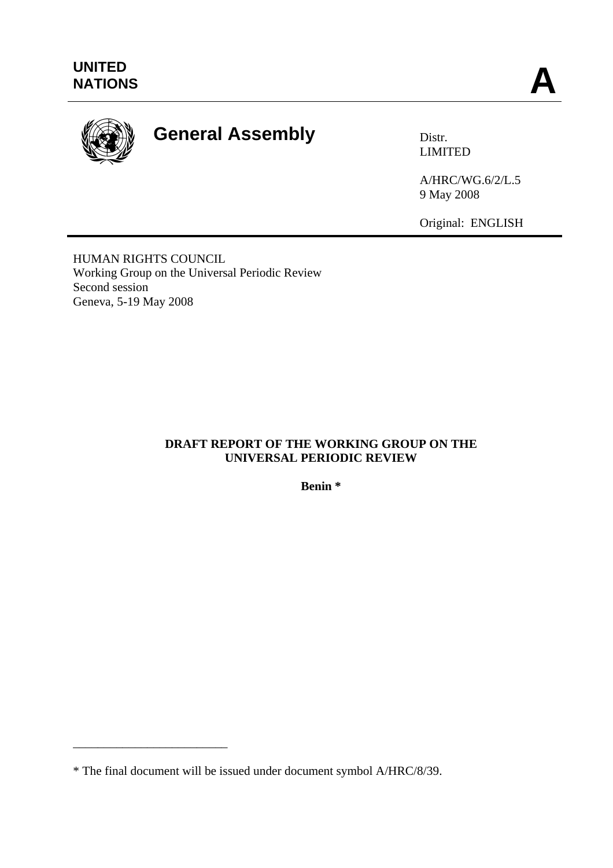

# General Assembly **Distr.**

LIMITED

A/HRC/WG.6/2/L.5 9 May 2008

Original: ENGLISH

HUMAN RIGHTS COUNCIL Working Group on the Universal Periodic Review Second session Geneva, 5-19 May 2008

## **DRAFT REPORT OF THE WORKING GROUP ON THE UNIVERSAL PERIODIC REVIEW**

**Benin \*** 

\_\_\_\_\_\_\_\_\_\_\_\_\_\_\_\_\_\_\_\_\_\_\_\_\_

<sup>\*</sup> The final document will be issued under document symbol A/HRC/8/39.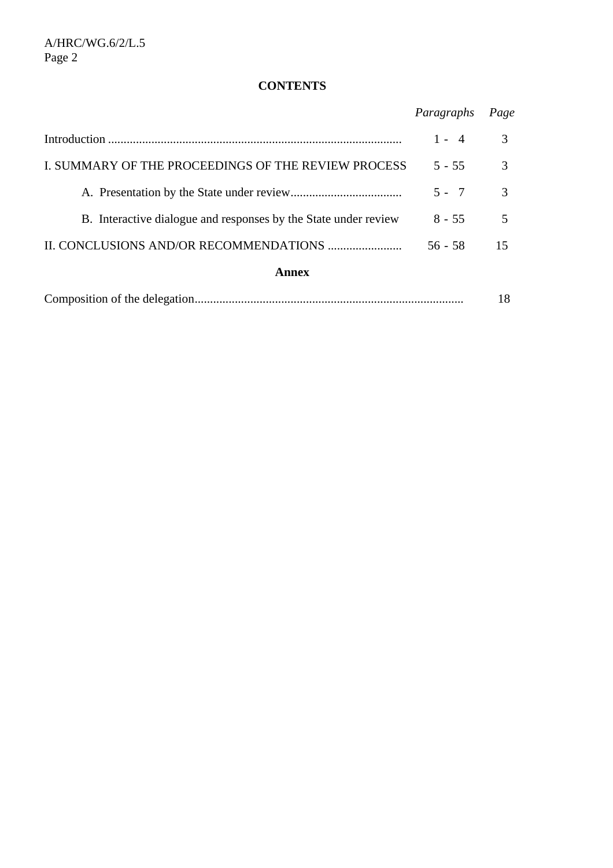## **CONTENTS**

|                                                                 | Paragraphs | Page |
|-----------------------------------------------------------------|------------|------|
|                                                                 | $1 - 4$    | 3    |
| I. SUMMARY OF THE PROCEEDINGS OF THE REVIEW PROCESS             | $5 - 55$   | 3    |
|                                                                 | $5 - 7$    | 3    |
| B. Interactive dialogue and responses by the State under review | $8 - 55$   | 5    |
|                                                                 | $56 - 58$  | 15   |
| <b>Annex</b>                                                    |            |      |
|                                                                 |            | 18   |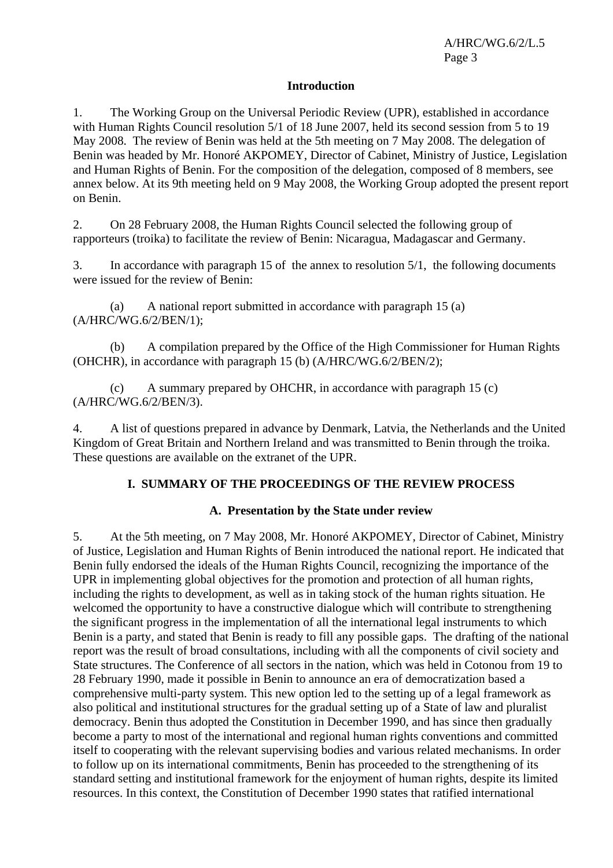#### **Introduction**

1. The Working Group on the Universal Periodic Review (UPR), established in accordance with Human Rights Council resolution 5/1 of 18 June 2007, held its second session from 5 to 19 May 2008. The review of Benin was held at the 5th meeting on 7 May 2008. The delegation of Benin was headed by Mr. Honoré AKPOMEY, Director of Cabinet, Ministry of Justice, Legislation and Human Rights of Benin. For the composition of the delegation, composed of 8 members, see annex below. At its 9th meeting held on 9 May 2008, the Working Group adopted the present report on Benin.

2. On 28 February 2008, the Human Rights Council selected the following group of rapporteurs (troika) to facilitate the review of Benin: Nicaragua, Madagascar and Germany.

3. In accordance with paragraph 15 of the annex to resolution 5/1, the following documents were issued for the review of Benin:

 (a) A national report submitted in accordance with paragraph 15 (a) (A/HRC/WG.6/2/BEN/1);

 (b) A compilation prepared by the Office of the High Commissioner for Human Rights (OHCHR), in accordance with paragraph 15 (b) (A/HRC/WG.6/2/BEN/2);

 (c) A summary prepared by OHCHR, in accordance with paragraph 15 (c) (A/HRC/WG.6/2/BEN/3).

4. A list of questions prepared in advance by Denmark, Latvia, the Netherlands and the United Kingdom of Great Britain and Northern Ireland and was transmitted to Benin through the troika. These questions are available on the extranet of the UPR.

## **I. SUMMARY OF THE PROCEEDINGS OF THE REVIEW PROCESS**

## **A. Presentation by the State under review**

5. At the 5th meeting, on 7 May 2008, Mr. Honoré AKPOMEY, Director of Cabinet, Ministry of Justice, Legislation and Human Rights of Benin introduced the national report. He indicated that Benin fully endorsed the ideals of the Human Rights Council, recognizing the importance of the UPR in implementing global objectives for the promotion and protection of all human rights, including the rights to development, as well as in taking stock of the human rights situation. He welcomed the opportunity to have a constructive dialogue which will contribute to strengthening the significant progress in the implementation of all the international legal instruments to which Benin is a party, and stated that Benin is ready to fill any possible gaps. The drafting of the national report was the result of broad consultations, including with all the components of civil society and State structures. The Conference of all sectors in the nation, which was held in Cotonou from 19 to 28 February 1990, made it possible in Benin to announce an era of democratization based a comprehensive multi-party system. This new option led to the setting up of a legal framework as also political and institutional structures for the gradual setting up of a State of law and pluralist democracy. Benin thus adopted the Constitution in December 1990, and has since then gradually become a party to most of the international and regional human rights conventions and committed itself to cooperating with the relevant supervising bodies and various related mechanisms. In order to follow up on its international commitments, Benin has proceeded to the strengthening of its standard setting and institutional framework for the enjoyment of human rights, despite its limited resources. In this context, the Constitution of December 1990 states that ratified international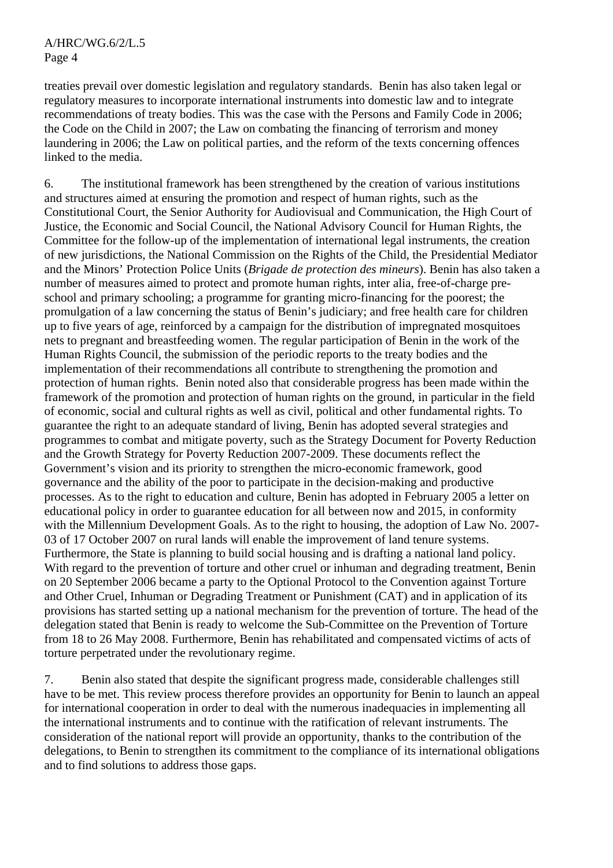treaties prevail over domestic legislation and regulatory standards. Benin has also taken legal or regulatory measures to incorporate international instruments into domestic law and to integrate recommendations of treaty bodies. This was the case with the Persons and Family Code in 2006; the Code on the Child in 2007; the Law on combating the financing of terrorism and money laundering in 2006; the Law on political parties, and the reform of the texts concerning offences linked to the media.

6. The institutional framework has been strengthened by the creation of various institutions and structures aimed at ensuring the promotion and respect of human rights, such as the Constitutional Court, the Senior Authority for Audiovisual and Communication, the High Court of Justice, the Economic and Social Council, the National Advisory Council for Human Rights, the Committee for the follow-up of the implementation of international legal instruments, the creation of new jurisdictions, the National Commission on the Rights of the Child, the Presidential Mediator and the Minors' Protection Police Units (*Brigade de protection des mineurs*). Benin has also taken a number of measures aimed to protect and promote human rights, inter alia, free-of-charge preschool and primary schooling; a programme for granting micro-financing for the poorest; the promulgation of a law concerning the status of Benin's judiciary; and free health care for children up to five years of age, reinforced by a campaign for the distribution of impregnated mosquitoes nets to pregnant and breastfeeding women. The regular participation of Benin in the work of the Human Rights Council, the submission of the periodic reports to the treaty bodies and the implementation of their recommendations all contribute to strengthening the promotion and protection of human rights. Benin noted also that considerable progress has been made within the framework of the promotion and protection of human rights on the ground, in particular in the field of economic, social and cultural rights as well as civil, political and other fundamental rights. To guarantee the right to an adequate standard of living, Benin has adopted several strategies and programmes to combat and mitigate poverty, such as the Strategy Document for Poverty Reduction and the Growth Strategy for Poverty Reduction 2007-2009. These documents reflect the Government's vision and its priority to strengthen the micro-economic framework, good governance and the ability of the poor to participate in the decision-making and productive processes. As to the right to education and culture, Benin has adopted in February 2005 a letter on educational policy in order to guarantee education for all between now and 2015, in conformity with the Millennium Development Goals. As to the right to housing, the adoption of Law No. 2007-03 of 17 October 2007 on rural lands will enable the improvement of land tenure systems. Furthermore, the State is planning to build social housing and is drafting a national land policy. With regard to the prevention of torture and other cruel or inhuman and degrading treatment, Benin on 20 September 2006 became a party to the Optional Protocol to the Convention against Torture and Other Cruel, Inhuman or Degrading Treatment or Punishment (CAT) and in application of its provisions has started setting up a national mechanism for the prevention of torture. The head of the delegation stated that Benin is ready to welcome the Sub-Committee on the Prevention of Torture from 18 to 26 May 2008. Furthermore, Benin has rehabilitated and compensated victims of acts of torture perpetrated under the revolutionary regime.

7. Benin also stated that despite the significant progress made, considerable challenges still have to be met. This review process therefore provides an opportunity for Benin to launch an appeal for international cooperation in order to deal with the numerous inadequacies in implementing all the international instruments and to continue with the ratification of relevant instruments. The consideration of the national report will provide an opportunity, thanks to the contribution of the delegations, to Benin to strengthen its commitment to the compliance of its international obligations and to find solutions to address those gaps.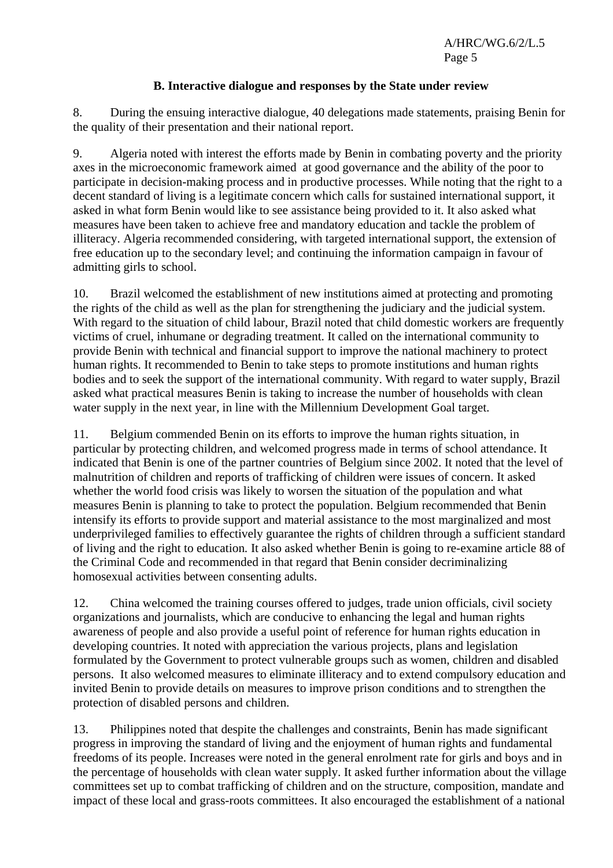#### **B. Interactive dialogue and responses by the State under review**

8. During the ensuing interactive dialogue, 40 delegations made statements, praising Benin for the quality of their presentation and their national report.

9. Algeria noted with interest the efforts made by Benin in combating poverty and the priority axes in the microeconomic framework aimed at good governance and the ability of the poor to participate in decision-making process and in productive processes. While noting that the right to a decent standard of living is a legitimate concern which calls for sustained international support, it asked in what form Benin would like to see assistance being provided to it. It also asked what measures have been taken to achieve free and mandatory education and tackle the problem of illiteracy. Algeria recommended considering, with targeted international support, the extension of free education up to the secondary level; and continuing the information campaign in favour of admitting girls to school.

10. Brazil welcomed the establishment of new institutions aimed at protecting and promoting the rights of the child as well as the plan for strengthening the judiciary and the judicial system. With regard to the situation of child labour, Brazil noted that child domestic workers are frequently victims of cruel, inhumane or degrading treatment. It called on the international community to provide Benin with technical and financial support to improve the national machinery to protect human rights. It recommended to Benin to take steps to promote institutions and human rights bodies and to seek the support of the international community. With regard to water supply, Brazil asked what practical measures Benin is taking to increase the number of households with clean water supply in the next year, in line with the Millennium Development Goal target.

11. Belgium commended Benin on its efforts to improve the human rights situation, in particular by protecting children, and welcomed progress made in terms of school attendance. It indicated that Benin is one of the partner countries of Belgium since 2002. It noted that the level of malnutrition of children and reports of trafficking of children were issues of concern. It asked whether the world food crisis was likely to worsen the situation of the population and what measures Benin is planning to take to protect the population. Belgium recommended that Benin intensify its efforts to provide support and material assistance to the most marginalized and most underprivileged families to effectively guarantee the rights of children through a sufficient standard of living and the right to education*.* It also asked whether Benin is going to re-examine article 88 of the Criminal Code and recommended in that regard that Benin consider decriminalizing homosexual activities between consenting adults.

12. China welcomed the training courses offered to judges, trade union officials, civil society organizations and journalists, which are conducive to enhancing the legal and human rights awareness of people and also provide a useful point of reference for human rights education in developing countries. It noted with appreciation the various projects, plans and legislation formulated by the Government to protect vulnerable groups such as women, children and disabled persons. It also welcomed measures to eliminate illiteracy and to extend compulsory education and invited Benin to provide details on measures to improve prison conditions and to strengthen the protection of disabled persons and children.

13. Philippines noted that despite the challenges and constraints, Benin has made significant progress in improving the standard of living and the enjoyment of human rights and fundamental freedoms of its people. Increases were noted in the general enrolment rate for girls and boys and in the percentage of households with clean water supply. It asked further information about the village committees set up to combat trafficking of children and on the structure, composition, mandate and impact of these local and grass-roots committees. It also encouraged the establishment of a national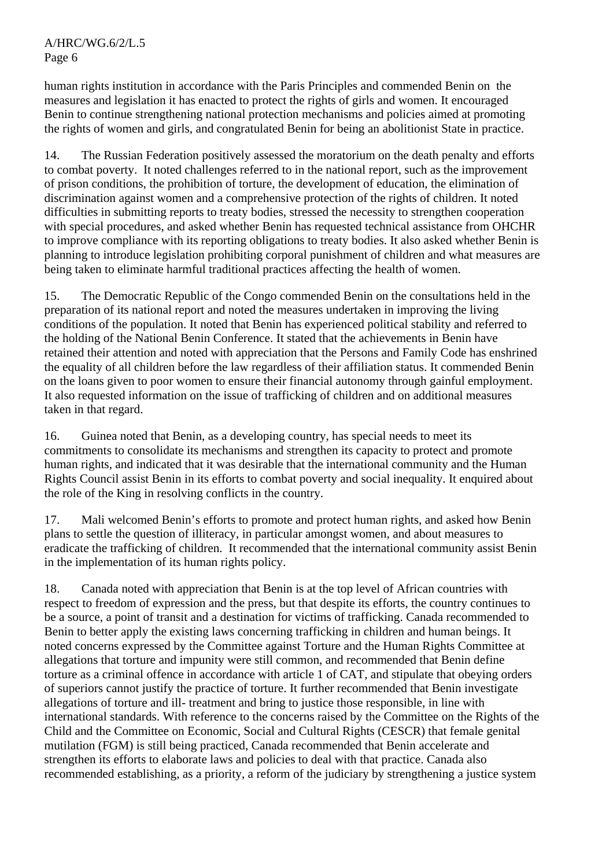human rights institution in accordance with the Paris Principles and commended Benin on the measures and legislation it has enacted to protect the rights of girls and women. It encouraged Benin to continue strengthening national protection mechanisms and policies aimed at promoting the rights of women and girls, and congratulated Benin for being an abolitionist State in practice.

14. The Russian Federation positively assessed the moratorium on the death penalty and efforts to combat poverty. It noted challenges referred to in the national report, such as the improvement of prison conditions, the prohibition of torture, the development of education, the elimination of discrimination against women and a comprehensive protection of the rights of children. It noted difficulties in submitting reports to treaty bodies, stressed the necessity to strengthen cooperation with special procedures, and asked whether Benin has requested technical assistance from OHCHR to improve compliance with its reporting obligations to treaty bodies. It also asked whether Benin is planning to introduce legislation prohibiting corporal punishment of children and what measures are being taken to eliminate harmful traditional practices affecting the health of women.

15. The Democratic Republic of the Congo commended Benin on the consultations held in the preparation of its national report and noted the measures undertaken in improving the living conditions of the population. It noted that Benin has experienced political stability and referred to the holding of the National Benin Conference. It stated that the achievements in Benin have retained their attention and noted with appreciation that the Persons and Family Code has enshrined the equality of all children before the law regardless of their affiliation status. It commended Benin on the loans given to poor women to ensure their financial autonomy through gainful employment. It also requested information on the issue of trafficking of children and on additional measures taken in that regard.

16. Guinea noted that Benin, as a developing country, has special needs to meet its commitments to consolidate its mechanisms and strengthen its capacity to protect and promote human rights, and indicated that it was desirable that the international community and the Human Rights Council assist Benin in its efforts to combat poverty and social inequality. It enquired about the role of the King in resolving conflicts in the country.

17. Mali welcomed Benin's efforts to promote and protect human rights, and asked how Benin plans to settle the question of illiteracy, in particular amongst women, and about measures to eradicate the trafficking of children. It recommended that the international community assist Benin in the implementation of its human rights policy.

18. Canada noted with appreciation that Benin is at the top level of African countries with respect to freedom of expression and the press, but that despite its efforts, the country continues to be a source, a point of transit and a destination for victims of trafficking. Canada recommended to Benin to better apply the existing laws concerning trafficking in children and human beings. It noted concerns expressed by the Committee against Torture and the Human Rights Committee at allegations that torture and impunity were still common, and recommended that Benin define torture as a criminal offence in accordance with article 1 of CAT, and stipulate that obeying orders of superiors cannot justify the practice of torture. It further recommended that Benin investigate allegations of torture and ill- treatment and bring to justice those responsible, in line with international standards. With reference to the concerns raised by the Committee on the Rights of the Child and the Committee on Economic, Social and Cultural Rights (CESCR) that female genital mutilation (FGM) is still being practiced, Canada recommended that Benin accelerate and strengthen its efforts to elaborate laws and policies to deal with that practice. Canada also recommended establishing, as a priority, a reform of the judiciary by strengthening a justice system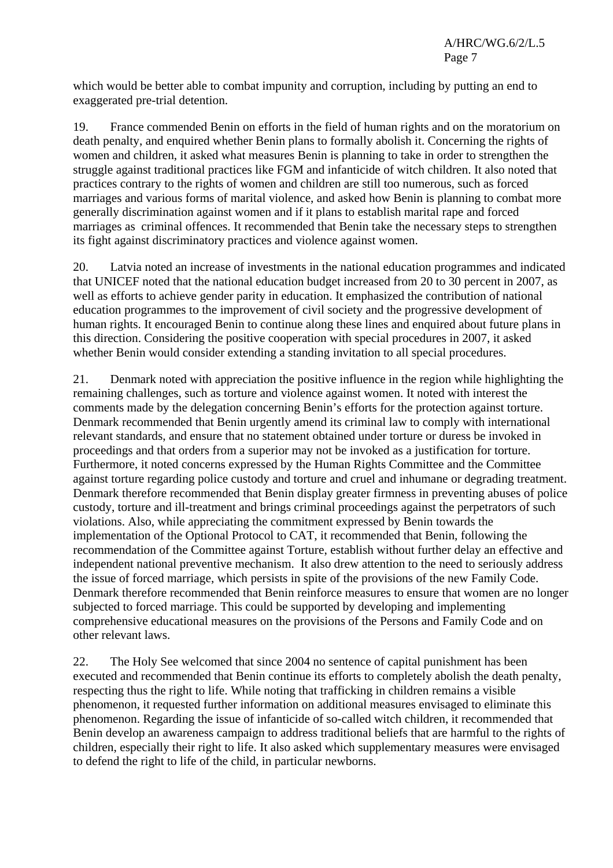which would be better able to combat impunity and corruption, including by putting an end to exaggerated pre-trial detention.

19. France commended Benin on efforts in the field of human rights and on the moratorium on death penalty, and enquired whether Benin plans to formally abolish it. Concerning the rights of women and children, it asked what measures Benin is planning to take in order to strengthen the struggle against traditional practices like FGM and infanticide of witch children. It also noted that practices contrary to the rights of women and children are still too numerous, such as forced marriages and various forms of marital violence, and asked how Benin is planning to combat more generally discrimination against women and if it plans to establish marital rape and forced marriages as criminal offences. It recommended that Benin take the necessary steps to strengthen its fight against discriminatory practices and violence against women.

20. Latvia noted an increase of investments in the national education programmes and indicated that UNICEF noted that the national education budget increased from 20 to 30 percent in 2007, as well as efforts to achieve gender parity in education. It emphasized the contribution of national education programmes to the improvement of civil society and the progressive development of human rights. It encouraged Benin to continue along these lines and enquired about future plans in this direction. Considering the positive cooperation with special procedures in 2007, it asked whether Benin would consider extending a standing invitation to all special procedures.

21. Denmark noted with appreciation the positive influence in the region while highlighting the remaining challenges, such as torture and violence against women. It noted with interest the comments made by the delegation concerning Benin's efforts for the protection against torture. Denmark recommended that Benin urgently amend its criminal law to comply with international relevant standards, and ensure that no statement obtained under torture or duress be invoked in proceedings and that orders from a superior may not be invoked as a justification for torture. Furthermore, it noted concerns expressed by the Human Rights Committee and the Committee against torture regarding police custody and torture and cruel and inhumane or degrading treatment. Denmark therefore recommended that Benin display greater firmness in preventing abuses of police custody, torture and ill-treatment and brings criminal proceedings against the perpetrators of such violations. Also, while appreciating the commitment expressed by Benin towards the implementation of the Optional Protocol to CAT, it recommended that Benin, following the recommendation of the Committee against Torture, establish without further delay an effective and independent national preventive mechanism. It also drew attention to the need to seriously address the issue of forced marriage, which persists in spite of the provisions of the new Family Code. Denmark therefore recommended that Benin reinforce measures to ensure that women are no longer subjected to forced marriage. This could be supported by developing and implementing comprehensive educational measures on the provisions of the Persons and Family Code and on other relevant laws.

22. The Holy See welcomed that since 2004 no sentence of capital punishment has been executed and recommended that Benin continue its efforts to completely abolish the death penalty, respecting thus the right to life. While noting that trafficking in children remains a visible phenomenon, it requested further information on additional measures envisaged to eliminate this phenomenon. Regarding the issue of infanticide of so-called witch children, it recommended that Benin develop an awareness campaign to address traditional beliefs that are harmful to the rights of children, especially their right to life. It also asked which supplementary measures were envisaged to defend the right to life of the child, in particular newborns.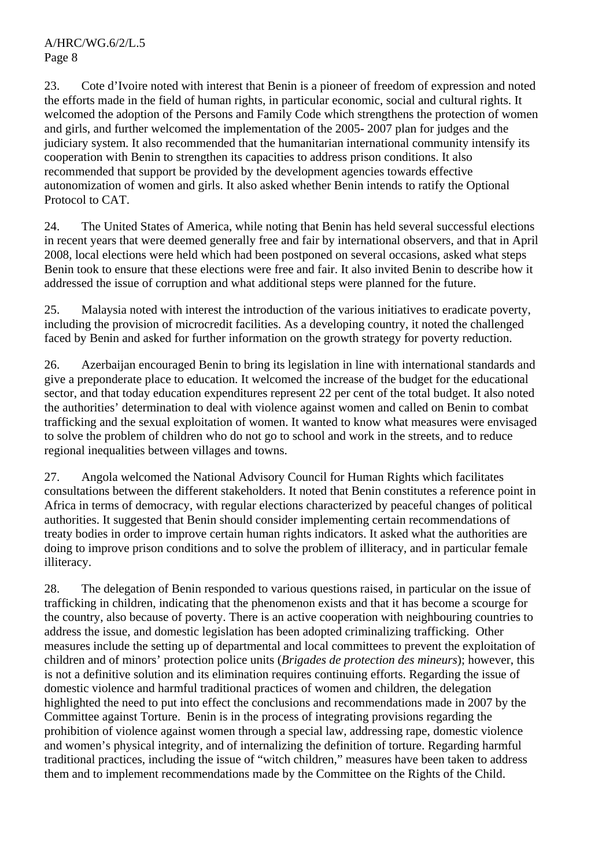23. Cote d'Ivoire noted with interest that Benin is a pioneer of freedom of expression and noted the efforts made in the field of human rights, in particular economic, social and cultural rights. It welcomed the adoption of the Persons and Family Code which strengthens the protection of women and girls, and further welcomed the implementation of the 2005- 2007 plan for judges and the judiciary system. It also recommended that the humanitarian international community intensify its cooperation with Benin to strengthen its capacities to address prison conditions. It also recommended that support be provided by the development agencies towards effective autonomization of women and girls. It also asked whether Benin intends to ratify the Optional Protocol to CAT.

24. The United States of America, while noting that Benin has held several successful elections in recent years that were deemed generally free and fair by international observers, and that in April 2008, local elections were held which had been postponed on several occasions, asked what steps Benin took to ensure that these elections were free and fair. It also invited Benin to describe how it addressed the issue of corruption and what additional steps were planned for the future.

25. Malaysia noted with interest the introduction of the various initiatives to eradicate poverty, including the provision of microcredit facilities. As a developing country, it noted the challenged faced by Benin and asked for further information on the growth strategy for poverty reduction.

26. Azerbaijan encouraged Benin to bring its legislation in line with international standards and give a preponderate place to education. It welcomed the increase of the budget for the educational sector, and that today education expenditures represent 22 per cent of the total budget. It also noted the authorities' determination to deal with violence against women and called on Benin to combat trafficking and the sexual exploitation of women. It wanted to know what measures were envisaged to solve the problem of children who do not go to school and work in the streets, and to reduce regional inequalities between villages and towns.

27. Angola welcomed the National Advisory Council for Human Rights which facilitates consultations between the different stakeholders. It noted that Benin constitutes a reference point in Africa in terms of democracy, with regular elections characterized by peaceful changes of political authorities. It suggested that Benin should consider implementing certain recommendations of treaty bodies in order to improve certain human rights indicators. It asked what the authorities are doing to improve prison conditions and to solve the problem of illiteracy, and in particular female illiteracy.

28. The delegation of Benin responded to various questions raised, in particular on the issue of trafficking in children, indicating that the phenomenon exists and that it has become a scourge for the country, also because of poverty. There is an active cooperation with neighbouring countries to address the issue, and domestic legislation has been adopted criminalizing trafficking. Other measures include the setting up of departmental and local committees to prevent the exploitation of children and of minors' protection police units (*Brigades de protection des mineurs*); however, this is not a definitive solution and its elimination requires continuing efforts. Regarding the issue of domestic violence and harmful traditional practices of women and children, the delegation highlighted the need to put into effect the conclusions and recommendations made in 2007 by the Committee against Torture. Benin is in the process of integrating provisions regarding the prohibition of violence against women through a special law, addressing rape, domestic violence and women's physical integrity, and of internalizing the definition of torture. Regarding harmful traditional practices, including the issue of "witch children," measures have been taken to address them and to implement recommendations made by the Committee on the Rights of the Child.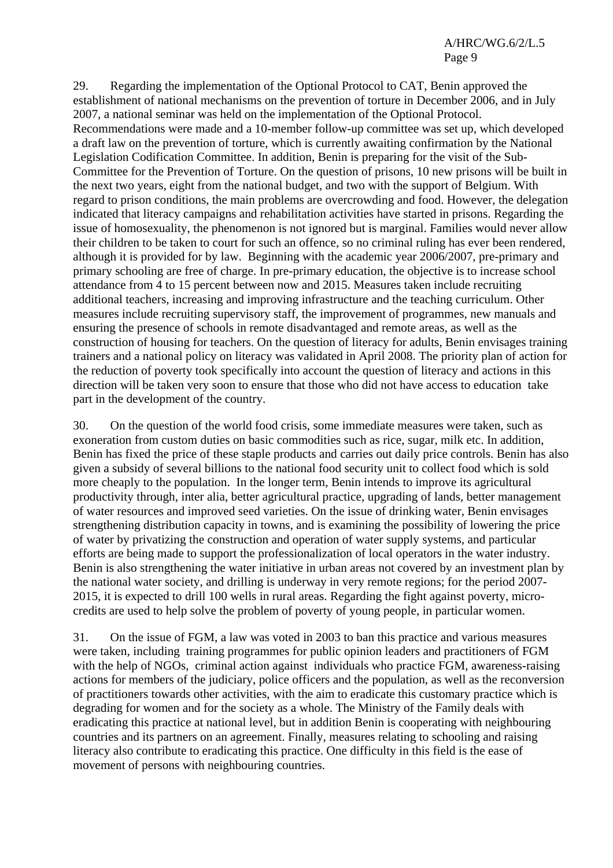29. Regarding the implementation of the Optional Protocol to CAT, Benin approved the establishment of national mechanisms on the prevention of torture in December 2006, and in July 2007, a national seminar was held on the implementation of the Optional Protocol. Recommendations were made and a 10-member follow-up committee was set up, which developed a draft law on the prevention of torture, which is currently awaiting confirmation by the National Legislation Codification Committee. In addition, Benin is preparing for the visit of the Sub-Committee for the Prevention of Torture. On the question of prisons, 10 new prisons will be built in the next two years, eight from the national budget, and two with the support of Belgium. With regard to prison conditions, the main problems are overcrowding and food. However, the delegation indicated that literacy campaigns and rehabilitation activities have started in prisons. Regarding the issue of homosexuality, the phenomenon is not ignored but is marginal. Families would never allow their children to be taken to court for such an offence, so no criminal ruling has ever been rendered, although it is provided for by law. Beginning with the academic year 2006/2007, pre-primary and primary schooling are free of charge. In pre-primary education, the objective is to increase school attendance from 4 to 15 percent between now and 2015. Measures taken include recruiting additional teachers, increasing and improving infrastructure and the teaching curriculum. Other measures include recruiting supervisory staff, the improvement of programmes, new manuals and ensuring the presence of schools in remote disadvantaged and remote areas, as well as the construction of housing for teachers. On the question of literacy for adults, Benin envisages training trainers and a national policy on literacy was validated in April 2008. The priority plan of action for the reduction of poverty took specifically into account the question of literacy and actions in this direction will be taken very soon to ensure that those who did not have access to education take part in the development of the country.

30. On the question of the world food crisis, some immediate measures were taken, such as exoneration from custom duties on basic commodities such as rice, sugar, milk etc. In addition, Benin has fixed the price of these staple products and carries out daily price controls. Benin has also given a subsidy of several billions to the national food security unit to collect food which is sold more cheaply to the population. In the longer term, Benin intends to improve its agricultural productivity through, inter alia, better agricultural practice, upgrading of lands, better management of water resources and improved seed varieties. On the issue of drinking water, Benin envisages strengthening distribution capacity in towns, and is examining the possibility of lowering the price of water by privatizing the construction and operation of water supply systems, and particular efforts are being made to support the professionalization of local operators in the water industry. Benin is also strengthening the water initiative in urban areas not covered by an investment plan by the national water society, and drilling is underway in very remote regions; for the period 2007- 2015, it is expected to drill 100 wells in rural areas. Regarding the fight against poverty, microcredits are used to help solve the problem of poverty of young people, in particular women.

31. On the issue of FGM, a law was voted in 2003 to ban this practice and various measures were taken, including training programmes for public opinion leaders and practitioners of FGM with the help of NGOs, criminal action against individuals who practice FGM, awareness-raising actions for members of the judiciary, police officers and the population, as well as the reconversion of practitioners towards other activities, with the aim to eradicate this customary practice which is degrading for women and for the society as a whole. The Ministry of the Family deals with eradicating this practice at national level, but in addition Benin is cooperating with neighbouring countries and its partners on an agreement. Finally, measures relating to schooling and raising literacy also contribute to eradicating this practice. One difficulty in this field is the ease of movement of persons with neighbouring countries.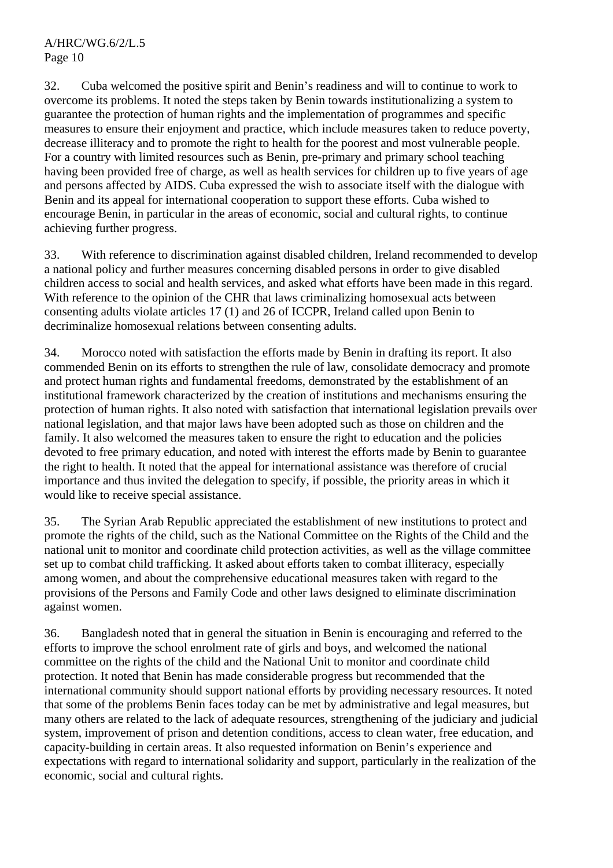32. Cuba welcomed the positive spirit and Benin's readiness and will to continue to work to overcome its problems. It noted the steps taken by Benin towards institutionalizing a system to guarantee the protection of human rights and the implementation of programmes and specific measures to ensure their enjoyment and practice, which include measures taken to reduce poverty, decrease illiteracy and to promote the right to health for the poorest and most vulnerable people. For a country with limited resources such as Benin, pre-primary and primary school teaching having been provided free of charge, as well as health services for children up to five years of age and persons affected by AIDS. Cuba expressed the wish to associate itself with the dialogue with Benin and its appeal for international cooperation to support these efforts. Cuba wished to encourage Benin, in particular in the areas of economic, social and cultural rights, to continue achieving further progress.

33. With reference to discrimination against disabled children, Ireland recommended to develop a national policy and further measures concerning disabled persons in order to give disabled children access to social and health services, and asked what efforts have been made in this regard. With reference to the opinion of the CHR that laws criminalizing homosexual acts between consenting adults violate articles 17 (1) and 26 of ICCPR, Ireland called upon Benin to decriminalize homosexual relations between consenting adults.

34. Morocco noted with satisfaction the efforts made by Benin in drafting its report. It also commended Benin on its efforts to strengthen the rule of law, consolidate democracy and promote and protect human rights and fundamental freedoms, demonstrated by the establishment of an institutional framework characterized by the creation of institutions and mechanisms ensuring the protection of human rights. It also noted with satisfaction that international legislation prevails over national legislation, and that major laws have been adopted such as those on children and the family. It also welcomed the measures taken to ensure the right to education and the policies devoted to free primary education, and noted with interest the efforts made by Benin to guarantee the right to health. It noted that the appeal for international assistance was therefore of crucial importance and thus invited the delegation to specify, if possible, the priority areas in which it would like to receive special assistance.

35. The Syrian Arab Republic appreciated the establishment of new institutions to protect and promote the rights of the child, such as the National Committee on the Rights of the Child and the national unit to monitor and coordinate child protection activities, as well as the village committee set up to combat child trafficking. It asked about efforts taken to combat illiteracy, especially among women, and about the comprehensive educational measures taken with regard to the provisions of the Persons and Family Code and other laws designed to eliminate discrimination against women.

36. Bangladesh noted that in general the situation in Benin is encouraging and referred to the efforts to improve the school enrolment rate of girls and boys, and welcomed the national committee on the rights of the child and the National Unit to monitor and coordinate child protection. It noted that Benin has made considerable progress but recommended that the international community should support national efforts by providing necessary resources. It noted that some of the problems Benin faces today can be met by administrative and legal measures, but many others are related to the lack of adequate resources, strengthening of the judiciary and judicial system, improvement of prison and detention conditions, access to clean water, free education, and capacity-building in certain areas. It also requested information on Benin's experience and expectations with regard to international solidarity and support, particularly in the realization of the economic, social and cultural rights.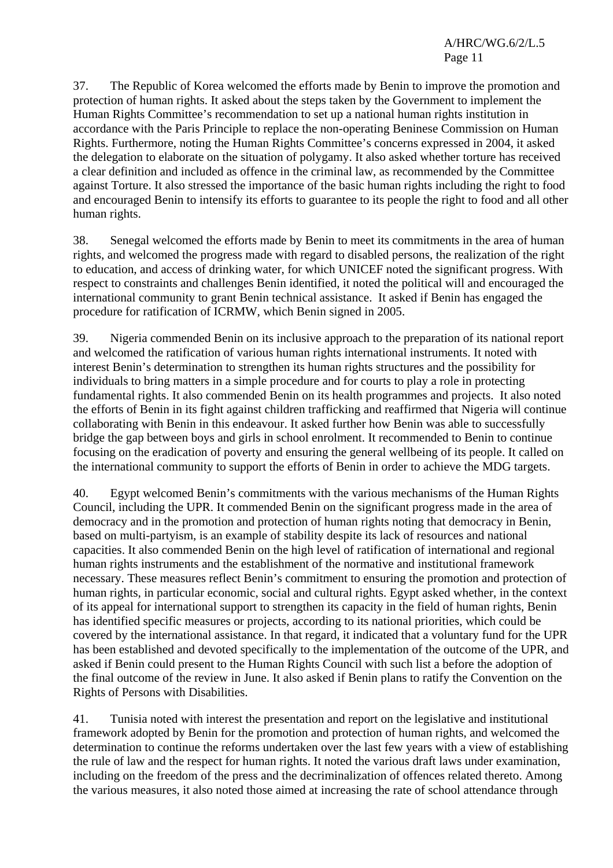37. The Republic of Korea welcomed the efforts made by Benin to improve the promotion and protection of human rights. It asked about the steps taken by the Government to implement the Human Rights Committee's recommendation to set up a national human rights institution in accordance with the Paris Principle to replace the non-operating Beninese Commission on Human Rights. Furthermore, noting the Human Rights Committee's concerns expressed in 2004, it asked the delegation to elaborate on the situation of polygamy. It also asked whether torture has received a clear definition and included as offence in the criminal law, as recommended by the Committee against Torture. It also stressed the importance of the basic human rights including the right to food and encouraged Benin to intensify its efforts to guarantee to its people the right to food and all other human rights.

38. Senegal welcomed the efforts made by Benin to meet its commitments in the area of human rights, and welcomed the progress made with regard to disabled persons, the realization of the right to education, and access of drinking water, for which UNICEF noted the significant progress. With respect to constraints and challenges Benin identified, it noted the political will and encouraged the international community to grant Benin technical assistance. It asked if Benin has engaged the procedure for ratification of ICRMW, which Benin signed in 2005.

39. Nigeria commended Benin on its inclusive approach to the preparation of its national report and welcomed the ratification of various human rights international instruments. It noted with interest Benin's determination to strengthen its human rights structures and the possibility for individuals to bring matters in a simple procedure and for courts to play a role in protecting fundamental rights. It also commended Benin on its health programmes and projects. It also noted the efforts of Benin in its fight against children trafficking and reaffirmed that Nigeria will continue collaborating with Benin in this endeavour. It asked further how Benin was able to successfully bridge the gap between boys and girls in school enrolment. It recommended to Benin to continue focusing on the eradication of poverty and ensuring the general wellbeing of its people. It called on the international community to support the efforts of Benin in order to achieve the MDG targets.

40. Egypt welcomed Benin's commitments with the various mechanisms of the Human Rights Council, including the UPR. It commended Benin on the significant progress made in the area of democracy and in the promotion and protection of human rights noting that democracy in Benin, based on multi-partyism, is an example of stability despite its lack of resources and national capacities. It also commended Benin on the high level of ratification of international and regional human rights instruments and the establishment of the normative and institutional framework necessary. These measures reflect Benin's commitment to ensuring the promotion and protection of human rights, in particular economic, social and cultural rights. Egypt asked whether, in the context of its appeal for international support to strengthen its capacity in the field of human rights, Benin has identified specific measures or projects, according to its national priorities, which could be covered by the international assistance. In that regard, it indicated that a voluntary fund for the UPR has been established and devoted specifically to the implementation of the outcome of the UPR, and asked if Benin could present to the Human Rights Council with such list a before the adoption of the final outcome of the review in June. It also asked if Benin plans to ratify the Convention on the Rights of Persons with Disabilities.

41. Tunisia noted with interest the presentation and report on the legislative and institutional framework adopted by Benin for the promotion and protection of human rights, and welcomed the determination to continue the reforms undertaken over the last few years with a view of establishing the rule of law and the respect for human rights. It noted the various draft laws under examination, including on the freedom of the press and the decriminalization of offences related thereto. Among the various measures, it also noted those aimed at increasing the rate of school attendance through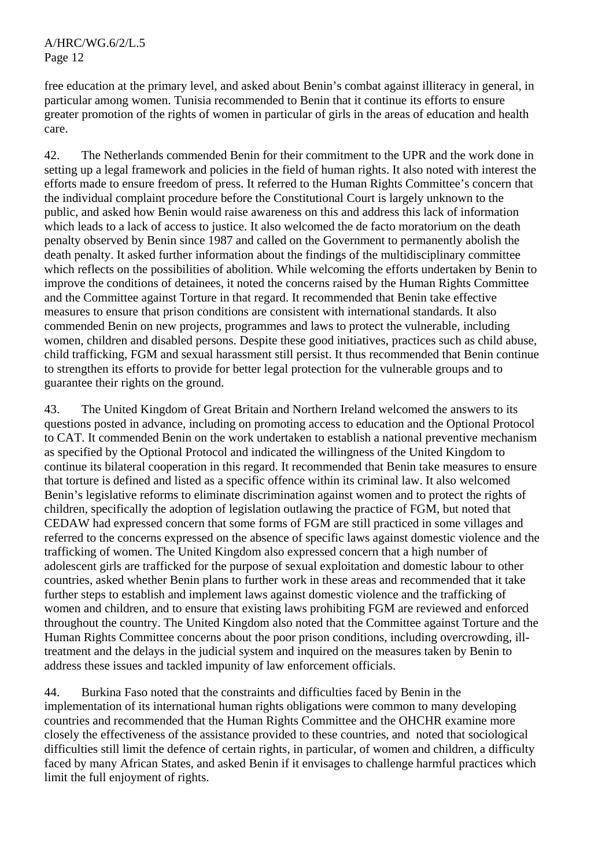free education at the primary level, and asked about Benin's combat against illiteracy in general, in particular among women. Tunisia recommended to Benin that it continue its efforts to ensure greater promotion of the rights of women in particular of girls in the areas of education and health care.

42. The Netherlands commended Benin for their commitment to the UPR and the work done in setting up a legal framework and policies in the field of human rights. It also noted with interest the efforts made to ensure freedom of press. It referred to the Human Rights Committee's concern that the individual complaint procedure before the Constitutional Court is largely unknown to the public, and asked how Benin would raise awareness on this and address this lack of information which leads to a lack of access to justice. It also welcomed the de facto moratorium on the death penalty observed by Benin since 1987 and called on the Government to permanently abolish the death penalty. It asked further information about the findings of the multidisciplinary committee which reflects on the possibilities of abolition. While welcoming the efforts undertaken by Benin to improve the conditions of detainees, it noted the concerns raised by the Human Rights Committee and the Committee against Torture in that regard. It recommended that Benin take effective measures to ensure that prison conditions are consistent with international standards. It also commended Benin on new projects, programmes and laws to protect the vulnerable, including women, children and disabled persons. Despite these good initiatives, practices such as child abuse, child trafficking, FGM and sexual harassment still persist. It thus recommended that Benin continue to strengthen its efforts to provide for better legal protection for the vulnerable groups and to guarantee their rights on the ground.

43. The United Kingdom of Great Britain and Northern Ireland welcomed the answers to its questions posted in advance, including on promoting access to education and the Optional Protocol to CAT. It commended Benin on the work undertaken to establish a national preventive mechanism as specified by the Optional Protocol and indicated the willingness of the United Kingdom to continue its bilateral cooperation in this regard. It recommended that Benin take measures to ensure that torture is defined and listed as a specific offence within its criminal law. It also welcomed Benin's legislative reforms to eliminate discrimination against women and to protect the rights of children, specifically the adoption of legislation outlawing the practice of FGM, but noted that CEDAW had expressed concern that some forms of FGM are still practiced in some villages and referred to the concerns expressed on the absence of specific laws against domestic violence and the trafficking of women. The United Kingdom also expressed concern that a high number of adolescent girls are trafficked for the purpose of sexual exploitation and domestic labour to other countries, asked whether Benin plans to further work in these areas and recommended that it take further steps to establish and implement laws against domestic violence and the trafficking of women and children, and to ensure that existing laws prohibiting FGM are reviewed and enforced throughout the country. The United Kingdom also noted that the Committee against Torture and the Human Rights Committee concerns about the poor prison conditions, including overcrowding, illtreatment and the delays in the judicial system and inquired on the measures taken by Benin to address these issues and tackled impunity of law enforcement officials.

44. Burkina Faso noted that the constraints and difficulties faced by Benin in the implementation of its international human rights obligations were common to many developing countries and recommended that the Human Rights Committee and the OHCHR examine more closely the effectiveness of the assistance provided to these countries, and noted that sociological difficulties still limit the defence of certain rights, in particular, of women and children, a difficulty faced by many African States, and asked Benin if it envisages to challenge harmful practices which limit the full enjoyment of rights.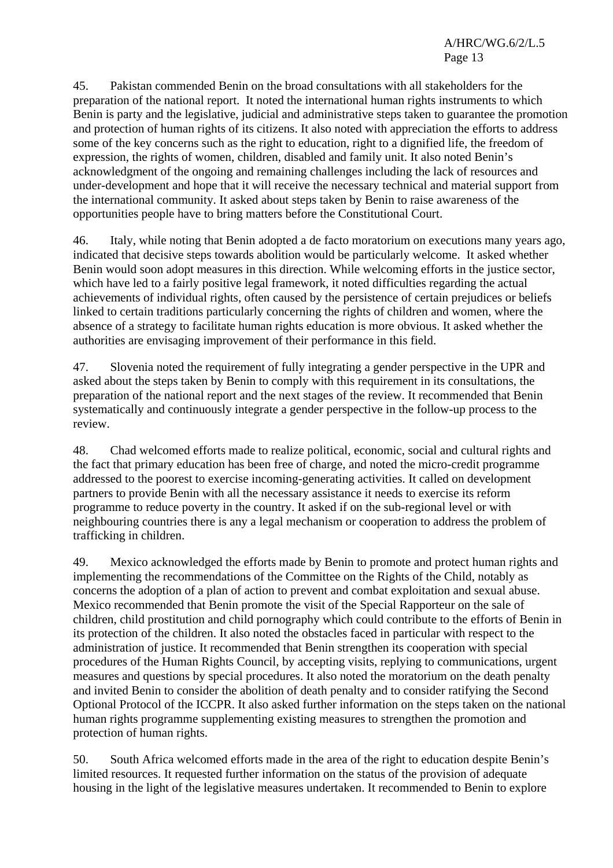45. Pakistan commended Benin on the broad consultations with all stakeholders for the preparation of the national report. It noted the international human rights instruments to which Benin is party and the legislative, judicial and administrative steps taken to guarantee the promotion and protection of human rights of its citizens. It also noted with appreciation the efforts to address some of the key concerns such as the right to education, right to a dignified life, the freedom of expression, the rights of women, children, disabled and family unit. It also noted Benin's acknowledgment of the ongoing and remaining challenges including the lack of resources and under-development and hope that it will receive the necessary technical and material support from the international community. It asked about steps taken by Benin to raise awareness of the opportunities people have to bring matters before the Constitutional Court.

46. Italy, while noting that Benin adopted a de facto moratorium on executions many years ago, indicated that decisive steps towards abolition would be particularly welcome. It asked whether Benin would soon adopt measures in this direction. While welcoming efforts in the justice sector, which have led to a fairly positive legal framework, it noted difficulties regarding the actual achievements of individual rights, often caused by the persistence of certain prejudices or beliefs linked to certain traditions particularly concerning the rights of children and women, where the absence of a strategy to facilitate human rights education is more obvious. It asked whether the authorities are envisaging improvement of their performance in this field.

47. Slovenia noted the requirement of fully integrating a gender perspective in the UPR and asked about the steps taken by Benin to comply with this requirement in its consultations, the preparation of the national report and the next stages of the review. It recommended that Benin systematically and continuously integrate a gender perspective in the follow-up process to the review.

48. Chad welcomed efforts made to realize political, economic, social and cultural rights and the fact that primary education has been free of charge, and noted the micro-credit programme addressed to the poorest to exercise incoming-generating activities. It called on development partners to provide Benin with all the necessary assistance it needs to exercise its reform programme to reduce poverty in the country. It asked if on the sub-regional level or with neighbouring countries there is any a legal mechanism or cooperation to address the problem of trafficking in children.

49. Mexico acknowledged the efforts made by Benin to promote and protect human rights and implementing the recommendations of the Committee on the Rights of the Child, notably as concerns the adoption of a plan of action to prevent and combat exploitation and sexual abuse. Mexico recommended that Benin promote the visit of the Special Rapporteur on the sale of children, child prostitution and child pornography which could contribute to the efforts of Benin in its protection of the children. It also noted the obstacles faced in particular with respect to the administration of justice. It recommended that Benin strengthen its cooperation with special procedures of the Human Rights Council, by accepting visits, replying to communications, urgent measures and questions by special procedures. It also noted the moratorium on the death penalty and invited Benin to consider the abolition of death penalty and to consider ratifying the Second Optional Protocol of the ICCPR. It also asked further information on the steps taken on the national human rights programme supplementing existing measures to strengthen the promotion and protection of human rights.

50. South Africa welcomed efforts made in the area of the right to education despite Benin's limited resources. It requested further information on the status of the provision of adequate housing in the light of the legislative measures undertaken. It recommended to Benin to explore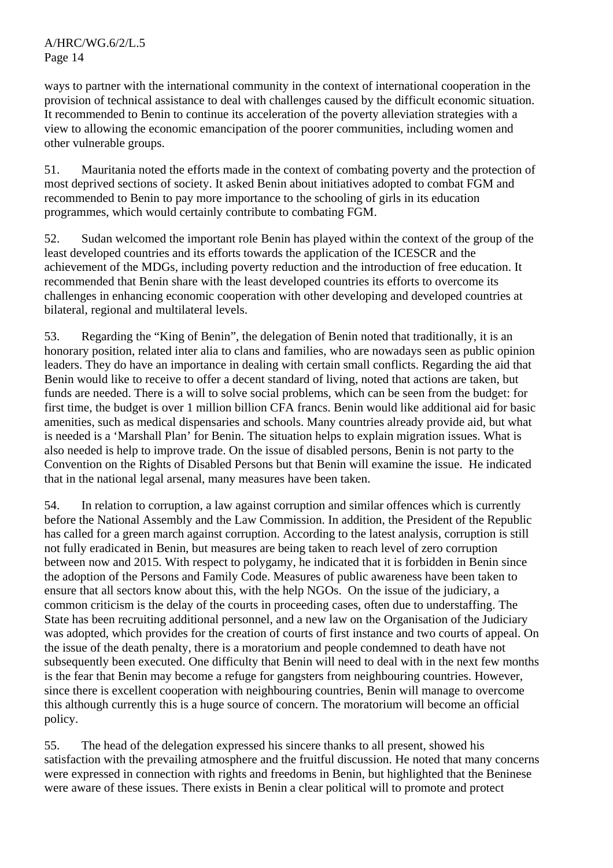ways to partner with the international community in the context of international cooperation in the provision of technical assistance to deal with challenges caused by the difficult economic situation. It recommended to Benin to continue its acceleration of the poverty alleviation strategies with a view to allowing the economic emancipation of the poorer communities, including women and other vulnerable groups.

51. Mauritania noted the efforts made in the context of combating poverty and the protection of most deprived sections of society. It asked Benin about initiatives adopted to combat FGM and recommended to Benin to pay more importance to the schooling of girls in its education programmes, which would certainly contribute to combating FGM.

52. Sudan welcomed the important role Benin has played within the context of the group of the least developed countries and its efforts towards the application of the ICESCR and the achievement of the MDGs, including poverty reduction and the introduction of free education. It recommended that Benin share with the least developed countries its efforts to overcome its challenges in enhancing economic cooperation with other developing and developed countries at bilateral, regional and multilateral levels.

53. Regarding the "King of Benin", the delegation of Benin noted that traditionally, it is an honorary position, related inter alia to clans and families, who are nowadays seen as public opinion leaders. They do have an importance in dealing with certain small conflicts. Regarding the aid that Benin would like to receive to offer a decent standard of living, noted that actions are taken, but funds are needed. There is a will to solve social problems, which can be seen from the budget: for first time, the budget is over 1 million billion CFA francs. Benin would like additional aid for basic amenities, such as medical dispensaries and schools. Many countries already provide aid, but what is needed is a 'Marshall Plan' for Benin. The situation helps to explain migration issues. What is also needed is help to improve trade. On the issue of disabled persons, Benin is not party to the Convention on the Rights of Disabled Persons but that Benin will examine the issue. He indicated that in the national legal arsenal, many measures have been taken.

54. In relation to corruption, a law against corruption and similar offences which is currently before the National Assembly and the Law Commission. In addition, the President of the Republic has called for a green march against corruption. According to the latest analysis, corruption is still not fully eradicated in Benin, but measures are being taken to reach level of zero corruption between now and 2015. With respect to polygamy, he indicated that it is forbidden in Benin since the adoption of the Persons and Family Code. Measures of public awareness have been taken to ensure that all sectors know about this, with the help NGOs. On the issue of the judiciary, a common criticism is the delay of the courts in proceeding cases, often due to understaffing. The State has been recruiting additional personnel, and a new law on the Organisation of the Judiciary was adopted, which provides for the creation of courts of first instance and two courts of appeal. On the issue of the death penalty, there is a moratorium and people condemned to death have not subsequently been executed. One difficulty that Benin will need to deal with in the next few months is the fear that Benin may become a refuge for gangsters from neighbouring countries. However, since there is excellent cooperation with neighbouring countries, Benin will manage to overcome this although currently this is a huge source of concern. The moratorium will become an official policy.

55. The head of the delegation expressed his sincere thanks to all present, showed his satisfaction with the prevailing atmosphere and the fruitful discussion. He noted that many concerns were expressed in connection with rights and freedoms in Benin, but highlighted that the Beninese were aware of these issues. There exists in Benin a clear political will to promote and protect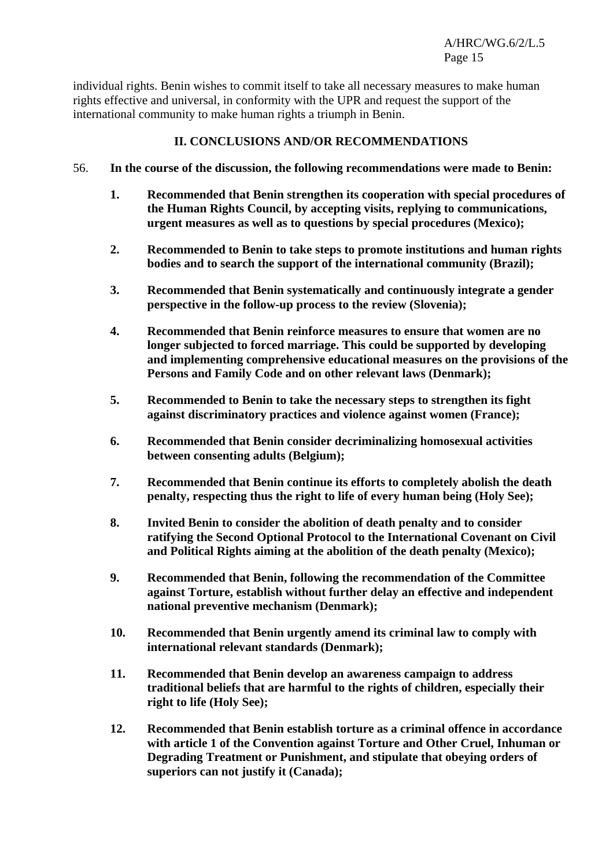individual rights. Benin wishes to commit itself to take all necessary measures to make human rights effective and universal, in conformity with the UPR and request the support of the international community to make human rights a triumph in Benin.

## **II. CONCLUSIONS AND/OR RECOMMENDATIONS**

- 56. **In the course of the discussion, the following recommendations were made to Benin:** 
	- **1. Recommended that Benin strengthen its cooperation with special procedures of the Human Rights Council, by accepting visits, replying to communications, urgent measures as well as to questions by special procedures (Mexico);**
	- **2. Recommended to Benin to take steps to promote institutions and human rights bodies and to search the support of the international community (Brazil);**
	- **3. Recommended that Benin systematically and continuously integrate a gender perspective in the follow-up process to the review (Slovenia);**
	- **4. Recommended that Benin reinforce measures to ensure that women are no longer subjected to forced marriage. This could be supported by developing and implementing comprehensive educational measures on the provisions of the Persons and Family Code and on other relevant laws (Denmark);**
	- **5. Recommended to Benin to take the necessary steps to strengthen its fight against discriminatory practices and violence against women (France);**
	- **6. Recommended that Benin consider decriminalizing homosexual activities between consenting adults (Belgium);**
	- **7. Recommended that Benin continue its efforts to completely abolish the death penalty, respecting thus the right to life of every human being (Holy See);**
	- **8. Invited Benin to consider the abolition of death penalty and to consider ratifying the Second Optional Protocol to the International Covenant on Civil and Political Rights aiming at the abolition of the death penalty (Mexico);**
	- **9. Recommended that Benin, following the recommendation of the Committee against Torture, establish without further delay an effective and independent national preventive mechanism (Denmark);**
	- **10. Recommended that Benin urgently amend its criminal law to comply with international relevant standards (Denmark);**
	- **11. Recommended that Benin develop an awareness campaign to address traditional beliefs that are harmful to the rights of children, especially their right to life (Holy See);**
	- **12. Recommended that Benin establish torture as a criminal offence in accordance with article 1 of the Convention against Torture and Other Cruel, Inhuman or Degrading Treatment or Punishment, and stipulate that obeying orders of superiors can not justify it (Canada);**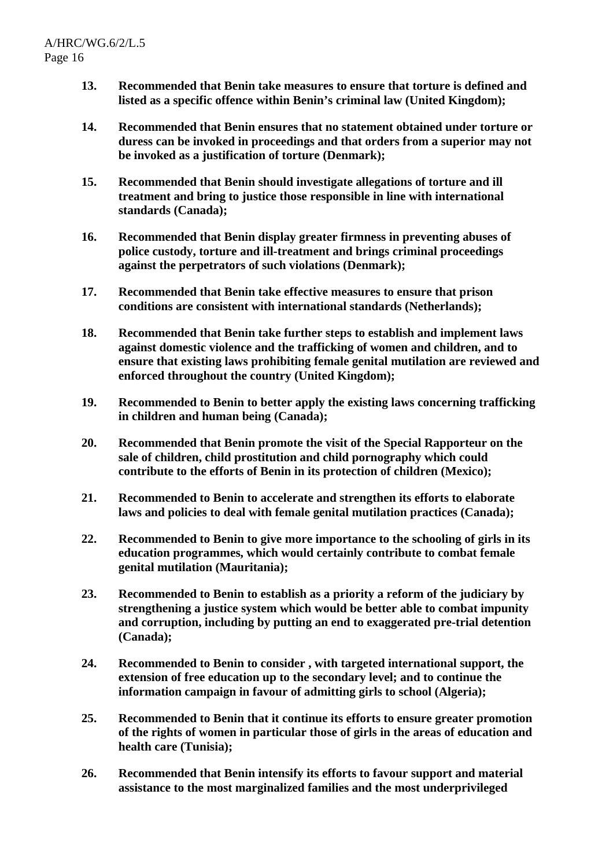- **13. Recommended that Benin take measures to ensure that torture is defined and listed as a specific offence within Benin's criminal law (United Kingdom);**
- **14. Recommended that Benin ensures that no statement obtained under torture or duress can be invoked in proceedings and that orders from a superior may not be invoked as a justification of torture (Denmark);**
- **15. Recommended that Benin should investigate allegations of torture and ill treatment and bring to justice those responsible in line with international standards (Canada);**
- **16. Recommended that Benin display greater firmness in preventing abuses of police custody, torture and ill-treatment and brings criminal proceedings against the perpetrators of such violations (Denmark);**
- **17. Recommended that Benin take effective measures to ensure that prison conditions are consistent with international standards (Netherlands);**
- **18. Recommended that Benin take further steps to establish and implement laws against domestic violence and the trafficking of women and children, and to ensure that existing laws prohibiting female genital mutilation are reviewed and enforced throughout the country (United Kingdom);**
- **19. Recommended to Benin to better apply the existing laws concerning trafficking in children and human being (Canada);**
- **20. Recommended that Benin promote the visit of the Special Rapporteur on the sale of children, child prostitution and child pornography which could contribute to the efforts of Benin in its protection of children (Mexico);**
- **21. Recommended to Benin to accelerate and strengthen its efforts to elaborate laws and policies to deal with female genital mutilation practices (Canada);**
- **22. Recommended to Benin to give more importance to the schooling of girls in its education programmes, which would certainly contribute to combat female genital mutilation (Mauritania);**
- **23. Recommended to Benin to establish as a priority a reform of the judiciary by strengthening a justice system which would be better able to combat impunity and corruption, including by putting an end to exaggerated pre-trial detention (Canada);**
- **24. Recommended to Benin to consider , with targeted international support, the extension of free education up to the secondary level; and to continue the information campaign in favour of admitting girls to school (Algeria);**
- **25. Recommended to Benin that it continue its efforts to ensure greater promotion of the rights of women in particular those of girls in the areas of education and health care (Tunisia);**
- **26. Recommended that Benin intensify its efforts to favour support and material assistance to the most marginalized families and the most underprivileged**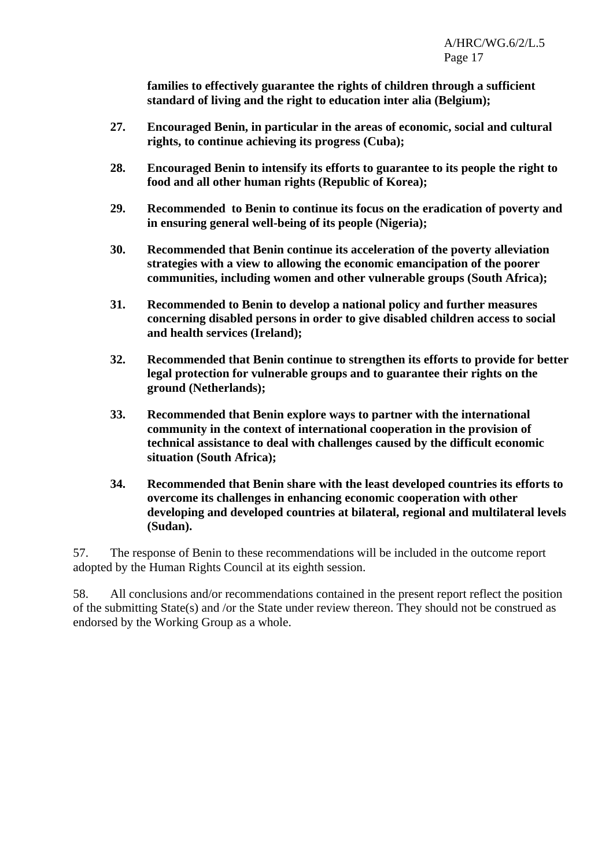**families to effectively guarantee the rights of children through a sufficient standard of living and the right to education inter alia (Belgium);** 

- **27. Encouraged Benin, in particular in the areas of economic, social and cultural rights, to continue achieving its progress (Cuba);**
- **28. Encouraged Benin to intensify its efforts to guarantee to its people the right to food and all other human rights (Republic of Korea);**
- **29. Recommended to Benin to continue its focus on the eradication of poverty and in ensuring general well-being of its people (Nigeria);**
- **30. Recommended that Benin continue its acceleration of the poverty alleviation strategies with a view to allowing the economic emancipation of the poorer communities, including women and other vulnerable groups (South Africa);**
- **31. Recommended to Benin to develop a national policy and further measures concerning disabled persons in order to give disabled children access to social and health services (Ireland);**
- **32. Recommended that Benin continue to strengthen its efforts to provide for better legal protection for vulnerable groups and to guarantee their rights on the ground (Netherlands);**
- **33. Recommended that Benin explore ways to partner with the international community in the context of international cooperation in the provision of technical assistance to deal with challenges caused by the difficult economic situation (South Africa);**
- **34. Recommended that Benin share with the least developed countries its efforts to overcome its challenges in enhancing economic cooperation with other developing and developed countries at bilateral, regional and multilateral levels (Sudan).**

57. The response of Benin to these recommendations will be included in the outcome report adopted by the Human Rights Council at its eighth session.

58. All conclusions and/or recommendations contained in the present report reflect the position of the submitting State(s) and /or the State under review thereon. They should not be construed as endorsed by the Working Group as a whole.